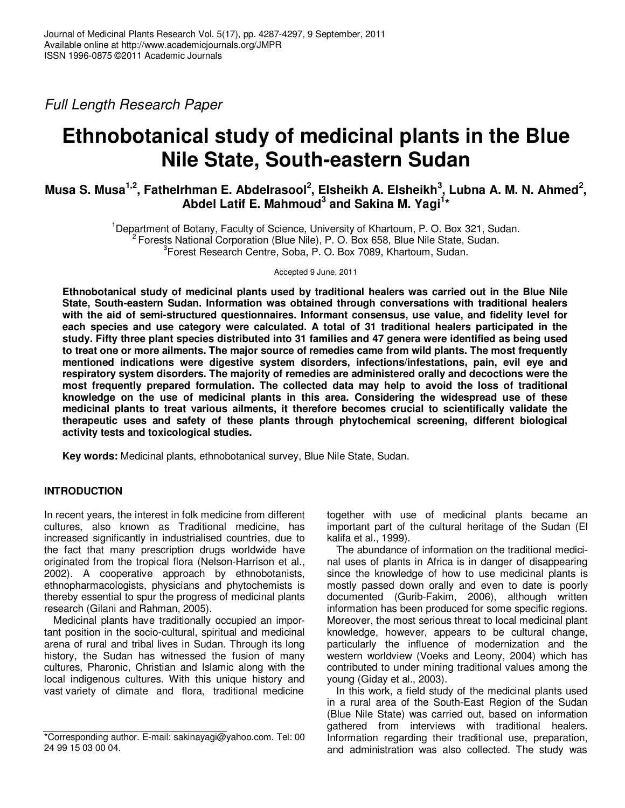Full Length Research Paper

# **Ethnobotanical study of medicinal plants in the Blue Nile State, South-eastern Sudan**

# **Musa S. Musa1,2, Fathelrhman E. Abdelrasool<sup>2</sup> , Elsheikh A. Elsheikh<sup>3</sup> , Lubna A. M. N. Ahmed<sup>2</sup> , Abdel Latif E. Mahmoud<sup>3</sup> and Sakina M. Yagi<sup>1</sup> \***

<sup>1</sup>Department of Botany, Faculty of Science, University of Khartoum, P. O. Box 321, Sudan. <sup>2</sup> Forests National Corporation (Blue Nile), P. O. Box 658, Blue Nile State, Sudan. 3 Forest Research Centre, Soba, P. O. Box 7089, Khartoum, Sudan.

Accepted 9 June, 2011

**Ethnobotanical study of medicinal plants used by traditional healers was carried out in the Blue Nile State, South-eastern Sudan. Information was obtained through conversations with traditional healers with the aid of semi-structured questionnaires. Informant consensus, use value, and fidelity level for each species and use category were calculated. A total of 31 traditional healers participated in the study. Fifty three plant species distributed into 31 families and 47 genera were identified as being used to treat one or more ailments. The major source of remedies came from wild plants. The most frequently mentioned indications were digestive system disorders, infections/infestations, pain, evil eye and respiratory system disorders. The majority of remedies are administered orally and decoctions were the most frequently prepared formulation. The collected data may help to avoid the loss of traditional knowledge on the use of medicinal plants in this area. Considering the widespread use of these medicinal plants to treat various ailments, it therefore becomes crucial to scientifically validate the therapeutic uses and safety of these plants through phytochemical screening, different biological activity tests and toxicological studies.** 

**Key words:** Medicinal plants, ethnobotanical survey, Blue Nile State, Sudan.

# **INTRODUCTION**

In recent years, the interest in folk medicine from different cultures, also known as Traditional medicine, has increased significantly in industrialised countries, due to the fact that many prescription drugs worldwide have originated from the tropical flora (Nelson-Harrison et al., 2002). A cooperative approach by ethnobotanists, ethnopharmacologists, physicians and phytochemists is thereby essential to spur the progress of medicinal plants research (Gilani and Rahman, 2005).

Medicinal plants have traditionally occupied an important position in the socio-cultural, spiritual and medicinal arena of rural and tribal lives in Sudan. Through its long history, the Sudan has witnessed the fusion of many cultures, Pharonic, Christian and Islamic along with the local indigenous cultures. With this unique history and vast variety of climate and flora, traditional medicine

together with use of medicinal plants became an important part of the cultural heritage of the Sudan (El kalifa et al., 1999).

The abundance of information on the traditional medicinal uses of plants in Africa is in danger of disappearing since the knowledge of how to use medicinal plants is mostly passed down orally and even to date is poorly documented (Gurib-Fakim, 2006), although written information has been produced for some specific regions. Moreover, the most serious threat to local medicinal plant knowledge, however, appears to be cultural change, particularly the influence of modernization and the western worldview (Voeks and Leony, 2004) which has contributed to under mining traditional values among the young (Giday et al., 2003).

In this work, a field study of the medicinal plants used in a rural area of the South-East Region of the Sudan (Blue Nile State) was carried out, based on information gathered from interviews with traditional healers. Information regarding their traditional use, preparation, and administration was also collected. The study was

<sup>\*</sup>Corresponding author. E-mail: sakinayagi@yahoo.com. Tel: 00 24 99 15 03 00 04.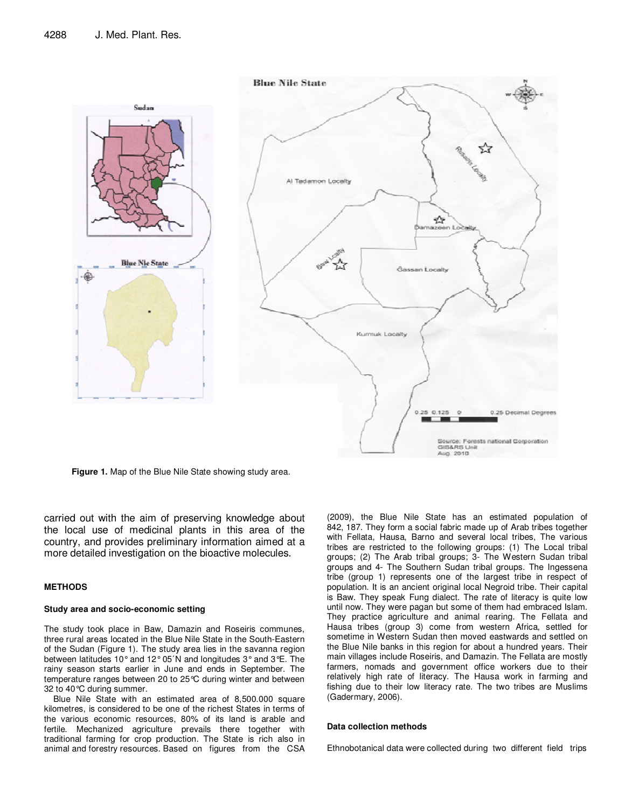

**Figure 1.** Map of the Blue Nile State showing study area.

carried out with the aim of preserving knowledge about the local use of medicinal plants in this area of the country, and provides preliminary information aimed at a more detailed investigation on the bioactive molecules.

#### **METHODS**

#### **Study area and socio-economic setting**

The study took place in Baw, Damazin and Roseiris communes, three rural areas located in the Blue Nile State in the South-Eastern of the Sudan (Figure 1). The study area lies in the savanna region between latitudes 10° and 12° 05´N and longitudes 3° and 3°E. The rainy season starts earlier in June and ends in September. The temperature ranges between 20 to 25°C during winter and between 32 to 40°C during summer.

Blue Nile State with an estimated area of 8,500.000 square kilometres, is considered to be one of the richest States in terms of the various economic resources, 80% of its land is arable and fertile. Mechanized agriculture prevails there together with traditional farming for crop production. The State is rich also in animal and forestry resources. Based on figures from the CSA

(2009), the Blue Nile State has an estimated population of 842, 187. They form a social fabric made up of Arab tribes together with Fellata, Hausa, Barno and several local tribes, The various tribes are restricted to the following groups: (1) The Local tribal groups; (2) The Arab tribal groups; 3- The Western Sudan tribal groups and 4- The Southern Sudan tribal groups. The Ingessena tribe (group 1) represents one of the largest tribe in respect of population. It is an ancient original local Negroid tribe. Their capital is Baw. They speak Fung dialect. The rate of literacy is quite low until now. They were pagan but some of them had embraced Islam. They practice agriculture and animal rearing. The Fellata and Hausa tribes (group 3) come from western Africa, settled for sometime in Western Sudan then moved eastwards and settled on the Blue Nile banks in this region for about a hundred years. Their main villages include Roseiris, and Damazin. The Fellata are mostly farmers, nomads and government office workers due to their relatively high rate of literacy. The Hausa work in farming and fishing due to their low literacy rate. The two tribes are Muslims (Gadermary, 2006).

#### **Data collection methods**

Ethnobotanical data were collected during two different field trips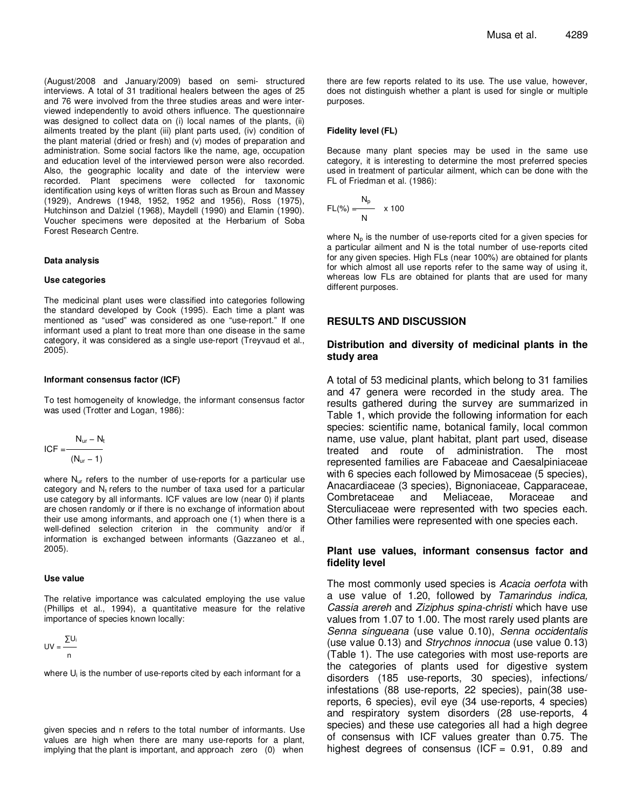(August/2008 and January/2009) based on semi- structured interviews. A total of 31 traditional healers between the ages of 25 and 76 were involved from the three studies areas and were interviewed independently to avoid others influence. The questionnaire was designed to collect data on (i) local names of the plants, (ii) ailments treated by the plant (iii) plant parts used, (iv) condition of the plant material (dried or fresh) and (v) modes of preparation and administration. Some social factors like the name, age, occupation and education level of the interviewed person were also recorded. Also, the geographic locality and date of the interview were recorded. Plant specimens were collected for taxonomic identification using keys of written floras such as Broun and Massey (1929), Andrews (1948, 1952, 1952 and 1956), Ross (1975), Hutchinson and Dalziel (1968), Maydell (1990) and Elamin (1990). Voucher specimens were deposited at the Herbarium of Soba Forest Research Centre.

#### **Data analysis**

#### **Use categories**

The medicinal plant uses were classified into categories following the standard developed by Cook (1995). Each time a plant was mentioned as "used" was considered as one "use-report." If one informant used a plant to treat more than one disease in the same category, it was considered as a single use-report (Treyvaud et al., 2005).

#### **Informant consensus factor (ICF)**

To test homogeneity of knowledge, the informant consensus factor was used (Trotter and Logan, 1986):

$$
ICF = \frac{N_{ur} - N_t}{(N_{ur} - 1)}
$$

where N<sub>ur</sub> refers to the number of use-reports for a particular use category and  $N_t$  refers to the number of taxa used for a particular use category by all informants. ICF values are low (near 0) if plants are chosen randomly or if there is no exchange of information about their use among informants, and approach one (1) when there is a well-defined selection criterion in the community and/or if information is exchanged between informants (Gazzaneo et al., 2005).

#### **Use value**

The relative importance was calculated employing the use value (Phillips et al., 1994), a quantitative measure for the relative importance of species known locally:

$$
UV = \frac{\sum U_i}{n}
$$

where  $U_i$  is the number of use-reports cited by each informant for a

given species and n refers to the total number of informants. Use values are high when there are many use-reports for a plant, implying that the plant is important, and approach zero (0) when

there are few reports related to its use. The use value, however, does not distinguish whether a plant is used for single or multiple purposes.

#### **Fidelity level (FL)**

Because many plant species may be used in the same use category, it is interesting to determine the most preferred species used in treatment of particular ailment, which can be done with the FL of Friedman et al. (1986):

$$
FL(\%)=\frac{N_p}{N} \times 100
$$

where  $N_p$  is the number of use-reports cited for a given species for a particular ailment and N is the total number of use-reports cited for any given species. High FLs (near 100%) are obtained for plants for which almost all use reports refer to the same way of using it, whereas low FLs are obtained for plants that are used for many different purposes.

#### **RESULTS AND DISCUSSION**

#### **Distribution and diversity of medicinal plants in the study area**

A total of 53 medicinal plants, which belong to 31 families and 47 genera were recorded in the study area. The results gathered during the survey are summarized in Table 1, which provide the following information for each species: scientific name, botanical family, local common name, use value, plant habitat, plant part used, disease treated and route of administration. The most represented families are Fabaceae and Caesalpiniaceae with 6 species each followed by Mimosaceae (5 species), Anacardiaceae (3 species), Bignoniaceae, Capparaceae, Combretaceae and Meliaceae, Moraceae and Sterculiaceae were represented with two species each. Other families were represented with one species each.

#### **Plant use values, informant consensus factor and fidelity level**

The most commonly used species is Acacia oerfota with a use value of 1.20, followed by Tamarindus indica, Cassia arereh and Ziziphus spina-christi which have use values from 1.07 to 1.00. The most rarely used plants are Senna singueana (use value 0.10), Senna occidentalis (use value 0.13) and Strychnos innocua (use value 0.13) (Table 1). The use categories with most use-reports are the categories of plants used for digestive system disorders (185 use-reports, 30 species), infections/ infestations (88 use-reports, 22 species), pain(38 usereports, 6 species), evil eye (34 use-reports, 4 species) and respiratory system disorders (28 use-reports, 4 species) and these use categories all had a high degree of consensus with ICF values greater than 0.75. The highest degrees of consensus (ICF =  $0.91$ ,  $0.89$  and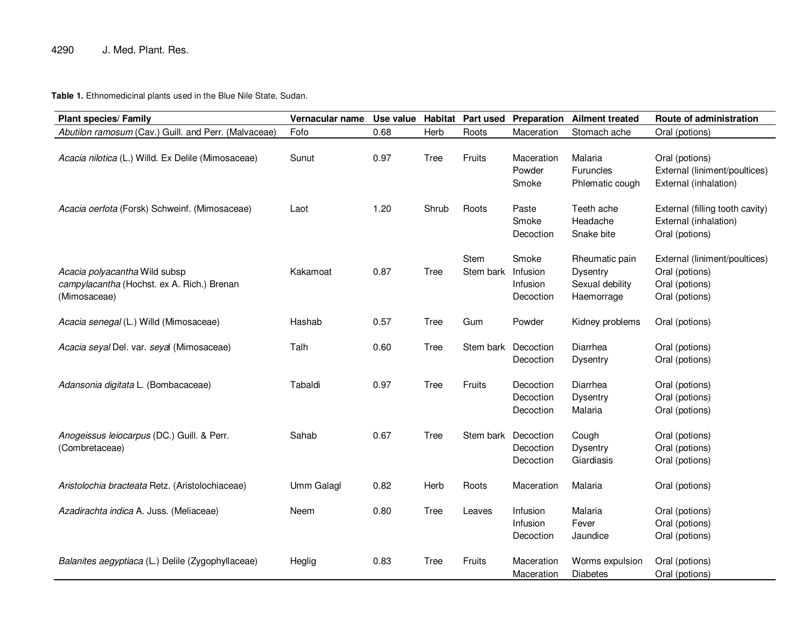# 4290 J. Med. Plant. Res.

**Table 1.** Ethnomedicinal plants used in the Blue Nile State, Sudan.

| <b>Plant species/ Family</b>                                                                | Vernacular name   | Use value |             | <b>Habitat Part used</b> | Preparation                                | <b>Ailment treated</b>                                      | Route of administration                                                             |
|---------------------------------------------------------------------------------------------|-------------------|-----------|-------------|--------------------------|--------------------------------------------|-------------------------------------------------------------|-------------------------------------------------------------------------------------|
| Abutilon ramosum (Cav.) Guill. and Perr. (Malvaceae)                                        | Fofo              | 0.68      | Herb        | Roots                    | Maceration                                 | Stomach ache                                                | Oral (potions)                                                                      |
| Acacia nilotica (L.) Willd. Ex Delile (Mimosaceae)                                          | Sunut             | 0.97      | Tree        | Fruits                   | Maceration<br>Powder<br>Smoke              | Malaria<br><b>Furuncles</b><br>Phlematic cough              | Oral (potions)<br>External (liniment/poultices)<br>External (inhalation)            |
| Acacia oerfota (Forsk) Schweinf. (Mimosaceae)                                               | Laot              | 1.20      | Shrub       | Roots                    | Paste<br>Smoke<br>Decoction                | Teeth ache<br>Headache<br>Snake bite                        | External (filling tooth cavity)<br>External (inhalation)<br>Oral (potions)          |
| Acacia polyacantha Wild subsp<br>campylacantha (Hochst. ex A. Rich.) Brenan<br>(Mimosaceae) | Kakamoat          | 0.87      | Tree        | <b>Stem</b><br>Stem bark | Smoke<br>Infusion<br>Infusion<br>Decoction | Rheumatic pain<br>Dysentry<br>Sexual debility<br>Haemorrage | External (liniment/poultices)<br>Oral (potions)<br>Oral (potions)<br>Oral (potions) |
| Acacia senegal (L.) Willd (Mimosaceae)                                                      | Hashab            | 0.57      | Tree        | Gum                      | Powder                                     | Kidney problems                                             | Oral (potions)                                                                      |
| Acacia seyal Del. var. seyal (Mimosaceae)                                                   | Talh              | 0.60      | <b>Tree</b> | Stem bark                | Decoction<br>Decoction                     | Diarrhea<br>Dysentry                                        | Oral (potions)<br>Oral (potions)                                                    |
| Adansonia digitata L. (Bombacaceae)                                                         | Tabaldi           | 0.97      | Tree        | Fruits                   | Decoction<br>Decoction<br>Decoction        | Diarrhea<br><b>Dysentry</b><br>Malaria                      | Oral (potions)<br>Oral (potions)<br>Oral (potions)                                  |
| Anogeissus leiocarpus (DC.) Guill. & Perr.<br>(Combretaceae)                                | Sahab             | 0.67      | Tree        | Stem bark Decoction      | Decoction<br>Decoction                     | Cough<br><b>Dysentry</b><br>Giardiasis                      | Oral (potions)<br>Oral (potions)<br>Oral (potions)                                  |
| Aristolochia bracteata Retz. (Aristolochiaceae)                                             | <b>Umm Galagl</b> | 0.82      | Herb        | Roots                    | Maceration                                 | Malaria                                                     | Oral (potions)                                                                      |
| Azadirachta indica A. Juss. (Meliaceae)                                                     | Neem              | 0.80      | Tree        | Leaves                   | Infusion<br>Infusion<br>Decoction          | Malaria<br>Fever<br>Jaundice                                | Oral (potions)<br>Oral (potions)<br>Oral (potions)                                  |
| Balanites aegyptiaca (L.) Delile (Zygophyllaceae)                                           | Heglig            | 0.83      | Tree        | <b>Fruits</b>            | Maceration<br>Maceration                   | Worms expulsion<br><b>Diabetes</b>                          | Oral (potions)<br>Oral (potions)                                                    |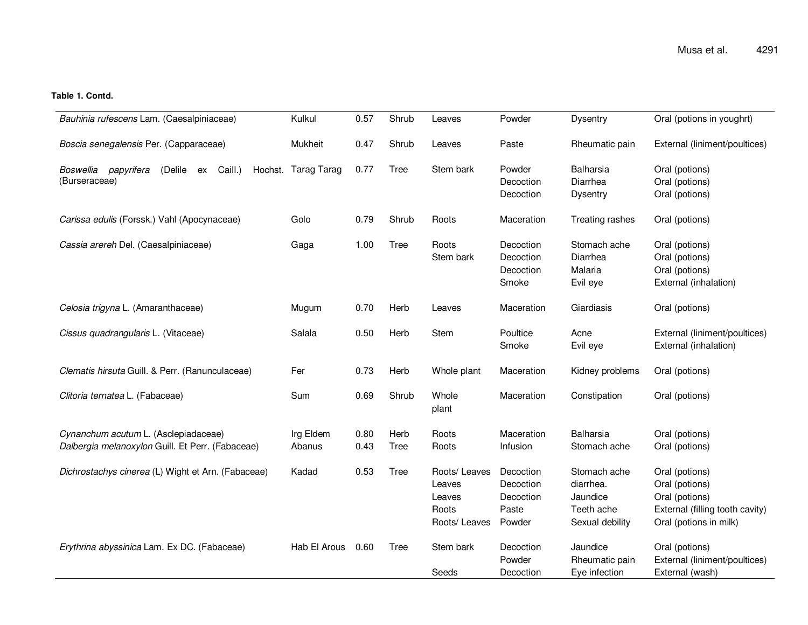## **Table 1. Contd.**

| Bauhinia rufescens Lam. (Caesalpiniaceae)                                                | Kulkul              | 0.57         | Shrub               | Leaves                                                      | Powder                                                 | <b>Dysentry</b>                                                        | Oral (potions in youghrt)                                                                                       |
|------------------------------------------------------------------------------------------|---------------------|--------------|---------------------|-------------------------------------------------------------|--------------------------------------------------------|------------------------------------------------------------------------|-----------------------------------------------------------------------------------------------------------------|
|                                                                                          |                     |              |                     |                                                             |                                                        |                                                                        |                                                                                                                 |
| Boscia senegalensis Per. (Capparaceae)                                                   | Mukheit             | 0.47         | Shrub               | Leaves                                                      | Paste                                                  | Rheumatic pain                                                         | External (liniment/poultices)                                                                                   |
| Caill.)<br>Boswellia papyrifera<br>(Delile<br>Hochst.<br>ex<br>(Burseraceae)             | Tarag Tarag         | 0.77         | Tree                | Stem bark                                                   | Powder<br>Decoction<br>Decoction                       | <b>Balharsia</b><br>Diarrhea<br><b>Dysentry</b>                        | Oral (potions)<br>Oral (potions)<br>Oral (potions)                                                              |
| Carissa edulis (Forssk.) Vahl (Apocynaceae)                                              | Golo                | 0.79         | Shrub               | Roots                                                       | Maceration                                             | Treating rashes                                                        | Oral (potions)                                                                                                  |
| Cassia arereh Del. (Caesalpiniaceae)                                                     | Gaga                | 1.00         | Tree                | Roots<br>Stem bark                                          | Decoction<br>Decoction<br>Decoction<br>Smoke           | Stomach ache<br>Diarrhea<br>Malaria<br>Evil eye                        | Oral (potions)<br>Oral (potions)<br>Oral (potions)<br>External (inhalation)                                     |
| Celosia trigyna L. (Amaranthaceae)                                                       | Mugum               | 0.70         | Herb                | Leaves                                                      | Maceration                                             | Giardiasis                                                             | Oral (potions)                                                                                                  |
| Cissus quadrangularis L. (Vitaceae)                                                      | Salala              | 0.50         | Herb                | Stem                                                        | Poultice<br>Smoke                                      | Acne<br>Evil eye                                                       | External (liniment/poultices)<br>External (inhalation)                                                          |
| Clematis hirsuta Guill. & Perr. (Ranunculaceae)                                          | Fer                 | 0.73         | Herb                | Whole plant                                                 | Maceration                                             | Kidney problems                                                        | Oral (potions)                                                                                                  |
| Clitoria ternatea L. (Fabaceae)                                                          | Sum                 | 0.69         | Shrub               | Whole<br>plant                                              | Maceration                                             | Constipation                                                           | Oral (potions)                                                                                                  |
| Cynanchum acutum L. (Asclepiadaceae)<br>Dalbergia melanoxylon Guill. Et Perr. (Fabaceae) | Irg Eldem<br>Abanus | 0.80<br>0.43 | Herb<br><b>Tree</b> | Roots<br>Roots                                              | Maceration<br>Infusion                                 | <b>Balharsia</b><br>Stomach ache                                       | Oral (potions)<br>Oral (potions)                                                                                |
| Dichrostachys cinerea (L) Wight et Arn. (Fabaceae)                                       | Kadad               | 0.53         | <b>Tree</b>         | Roots/ Leaves<br>Leaves<br>Leaves<br>Roots<br>Roots/ Leaves | Decoction<br>Decoction<br>Decoction<br>Paste<br>Powder | Stomach ache<br>diarrhea.<br>Jaundice<br>Teeth ache<br>Sexual debility | Oral (potions)<br>Oral (potions)<br>Oral (potions)<br>External (filling tooth cavity)<br>Oral (potions in milk) |
| Erythrina abyssinica Lam. Ex DC. (Fabaceae)                                              | Hab El Arous        | 0.60         | <b>Tree</b>         | Stem bark<br>Seeds                                          | Decoction<br>Powder<br>Decoction                       | Jaundice<br>Rheumatic pain<br>Eye infection                            | Oral (potions)<br>External (liniment/poultices)<br>External (wash)                                              |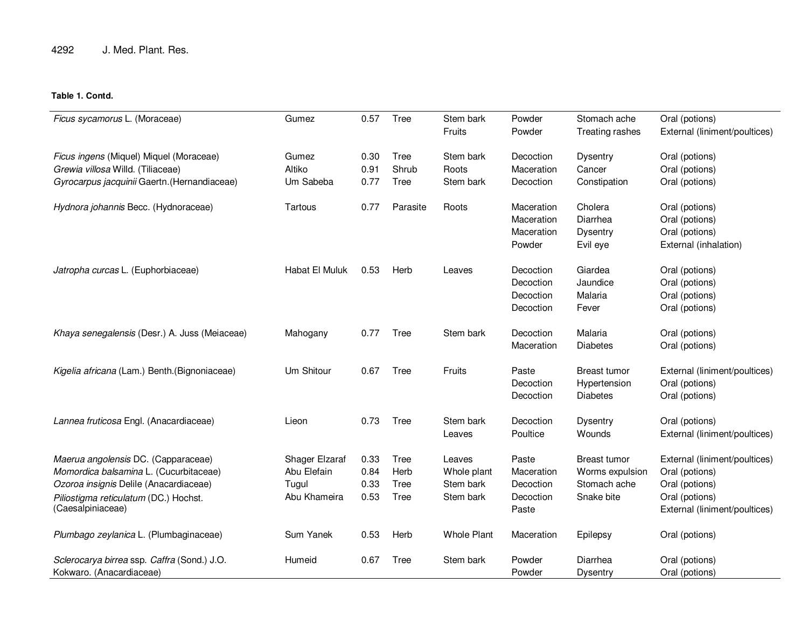# **Table 1. Contd.**

| Ficus sycamorus L. (Moraceae)                                                                                                                                                         | Gumez                                                  | 0.57                         | Tree                         | Stem bark<br>Fruits                             | Powder<br>Powder                                       | Stomach ache<br>Treating rashes                               | Oral (potions)<br>External (liniment/poultices)                                                                      |
|---------------------------------------------------------------------------------------------------------------------------------------------------------------------------------------|--------------------------------------------------------|------------------------------|------------------------------|-------------------------------------------------|--------------------------------------------------------|---------------------------------------------------------------|----------------------------------------------------------------------------------------------------------------------|
| Ficus ingens (Miquel) Miquel (Moraceae)<br>Grewia villosa Willd. (Tiliaceae)<br>Gyrocarpus jacquinii Gaertn. (Hernandiaceae)                                                          | Gumez<br>Altiko<br>Um Sabeba                           | 0.30<br>0.91<br>0.77         | Tree<br>Shrub<br>Tree        | Stem bark<br>Roots<br>Stem bark                 | Decoction<br>Maceration<br>Decoction                   | <b>Dysentry</b><br>Cancer<br>Constipation                     | Oral (potions)<br>Oral (potions)<br>Oral (potions)                                                                   |
| Hydnora johannis Becc. (Hydnoraceae)                                                                                                                                                  | Tartous                                                | 0.77                         | Parasite                     | Roots                                           | Maceration<br>Maceration<br>Maceration<br>Powder       | Cholera<br>Diarrhea<br><b>Dysentry</b><br>Evil eye            | Oral (potions)<br>Oral (potions)<br>Oral (potions)<br>External (inhalation)                                          |
| Jatropha curcas L. (Euphorbiaceae)                                                                                                                                                    | Habat El Muluk                                         | 0.53                         | Herb                         | Leaves                                          | Decoction<br>Decoction<br>Decoction<br>Decoction       | Giardea<br>Jaundice<br>Malaria<br>Fever                       | Oral (potions)<br>Oral (potions)<br>Oral (potions)<br>Oral (potions)                                                 |
| Khaya senegalensis (Desr.) A. Juss (Meiaceae)                                                                                                                                         | Mahogany                                               | 0.77                         | Tree                         | Stem bark                                       | Decoction<br>Maceration                                | Malaria<br><b>Diabetes</b>                                    | Oral (potions)<br>Oral (potions)                                                                                     |
| Kigelia africana (Lam.) Benth. (Bignoniaceae)                                                                                                                                         | Um Shitour                                             | 0.67                         | Tree                         | Fruits                                          | Paste<br>Decoction<br>Decoction                        | Breast tumor<br>Hypertension<br><b>Diabetes</b>               | External (liniment/poultices)<br>Oral (potions)<br>Oral (potions)                                                    |
| Lannea fruticosa Engl. (Anacardiaceae)                                                                                                                                                | Lieon                                                  | 0.73                         | Tree                         | Stem bark<br>Leaves                             | Decoction<br>Poultice                                  | <b>Dysentry</b><br>Wounds                                     | Oral (potions)<br>External (liniment/poultices)                                                                      |
| Maerua angolensis DC. (Capparaceae)<br>Momordica balsamina L. (Cucurbitaceae)<br>Ozoroa insignis Delile (Anacardiaceae)<br>Piliostigma reticulatum (DC.) Hochst.<br>(Caesalpiniaceae) | Shager Elzaraf<br>Abu Elefain<br>Tugul<br>Abu Khameira | 0.33<br>0.84<br>0.33<br>0.53 | Tree<br>Herb<br>Tree<br>Tree | Leaves<br>Whole plant<br>Stem bark<br>Stem bark | Paste<br>Maceration<br>Decoction<br>Decoction<br>Paste | Breast tumor<br>Worms expulsion<br>Stomach ache<br>Snake bite | External (liniment/poultices)<br>Oral (potions)<br>Oral (potions)<br>Oral (potions)<br>External (liniment/poultices) |
| Plumbago zeylanica L. (Plumbaginaceae)                                                                                                                                                | Sum Yanek                                              | 0.53                         | Herb                         | <b>Whole Plant</b>                              | Maceration                                             | Epilepsy                                                      | Oral (potions)                                                                                                       |
| Sclerocarya birrea ssp. Caffra (Sond.) J.O.<br>Kokwaro. (Anacardiaceae)                                                                                                               | Humeid                                                 | 0.67                         | Tree                         | Stem bark                                       | Powder<br>Powder                                       | Diarrhea<br><b>Dysentry</b>                                   | Oral (potions)<br>Oral (potions)                                                                                     |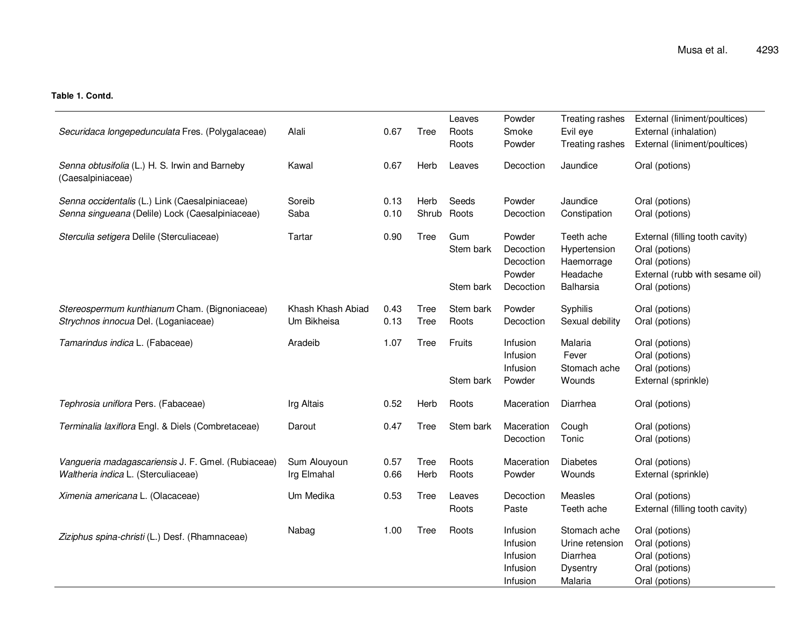## **Table 1. Contd.**

| Securidaca longepedunculata Fres. (Polygalaceae)                                          | Alali                            | 0.67         | Tree         | Leaves<br>Roots     | Powder<br>Smoke                                          | Treating rashes<br>Evil eye                                               | External (liniment/poultices)<br>External (inhalation)                                                 |
|-------------------------------------------------------------------------------------------|----------------------------------|--------------|--------------|---------------------|----------------------------------------------------------|---------------------------------------------------------------------------|--------------------------------------------------------------------------------------------------------|
|                                                                                           |                                  |              |              | Roots               | Powder                                                   | Treating rashes                                                           | External (liniment/poultices)                                                                          |
| Senna obtusifolia (L.) H. S. Irwin and Barneby<br>(Caesalpiniaceae)                       | Kawal                            | 0.67         | Herb         | Leaves              | Decoction                                                | Jaundice                                                                  | Oral (potions)                                                                                         |
| Senna occidentalis (L.) Link (Caesalpiniaceae)                                            | Soreib                           | 0.13         | Herb         | Seeds               | Powder                                                   | Jaundice                                                                  | Oral (potions)                                                                                         |
| Senna singueana (Delile) Lock (Caesalpiniaceae)                                           | Saba                             | 0.10         | Shrub        | Roots               | Decoction                                                | Constipation                                                              | Oral (potions)                                                                                         |
| Sterculia setigera Delile (Sterculiaceae)                                                 | Tartar                           | 0.90         | Tree         | Gum<br>Stem bark    | Powder<br>Decoction<br>Decoction<br>Powder               | Teeth ache<br>Hypertension<br>Haemorrage<br>Headache                      | External (filling tooth cavity)<br>Oral (potions)<br>Oral (potions)<br>External (rubb with sesame oil) |
|                                                                                           |                                  |              |              | Stem bark           | Decoction                                                | Balharsia                                                                 | Oral (potions)                                                                                         |
| Stereospermum kunthianum Cham. (Bignoniaceae)<br>Strychnos innocua Del. (Loganiaceae)     | Khash Khash Abiad<br>Um Bikheisa | 0.43<br>0.13 | Tree<br>Tree | Stem bark<br>Roots  | Powder<br>Decoction                                      | Syphilis<br>Sexual debility                                               | Oral (potions)<br>Oral (potions)                                                                       |
| Tamarindus indica L. (Fabaceae)                                                           | Aradeib                          | 1.07         | Tree         | Fruits<br>Stem bark | Infusion<br>Infusion<br>Infusion<br>Powder               | Malaria<br>Fever<br>Stomach ache<br>Wounds                                | Oral (potions)<br>Oral (potions)<br>Oral (potions)<br>External (sprinkle)                              |
| Tephrosia uniflora Pers. (Fabaceae)                                                       | Irg Altais                       | 0.52         | Herb         | Roots               | Maceration                                               | Diarrhea                                                                  | Oral (potions)                                                                                         |
| Terminalia laxiflora Engl. & Diels (Combretaceae)                                         | Darout                           | 0.47         | <b>Tree</b>  | Stem bark           | Maceration<br>Decoction                                  | Cough<br>Tonic                                                            | Oral (potions)<br>Oral (potions)                                                                       |
| Vangueria madagascariensis J. F. Gmel. (Rubiaceae)<br>Waltheria indica L. (Sterculiaceae) | Sum Alouyoun<br>Irg Elmahal      | 0.57<br>0.66 | Tree<br>Herb | Roots<br>Roots      | Maceration<br>Powder                                     | <b>Diabetes</b><br>Wounds                                                 | Oral (potions)<br>External (sprinkle)                                                                  |
| Ximenia americana L. (Olacaceae)                                                          | Um Medika                        | 0.53         | Tree         | Leaves<br>Roots     | Decoction<br>Paste                                       | Measles<br>Teeth ache                                                     | Oral (potions)<br>External (filling tooth cavity)                                                      |
| Ziziphus spina-christi (L.) Desf. (Rhamnaceae)                                            | Nabag                            | 1.00         | Tree         | Roots               | Infusion<br>Infusion<br>Infusion<br>Infusion<br>Infusion | Stomach ache<br>Urine retension<br>Diarrhea<br><b>Dysentry</b><br>Malaria | Oral (potions)<br>Oral (potions)<br>Oral (potions)<br>Oral (potions)<br>Oral (potions)                 |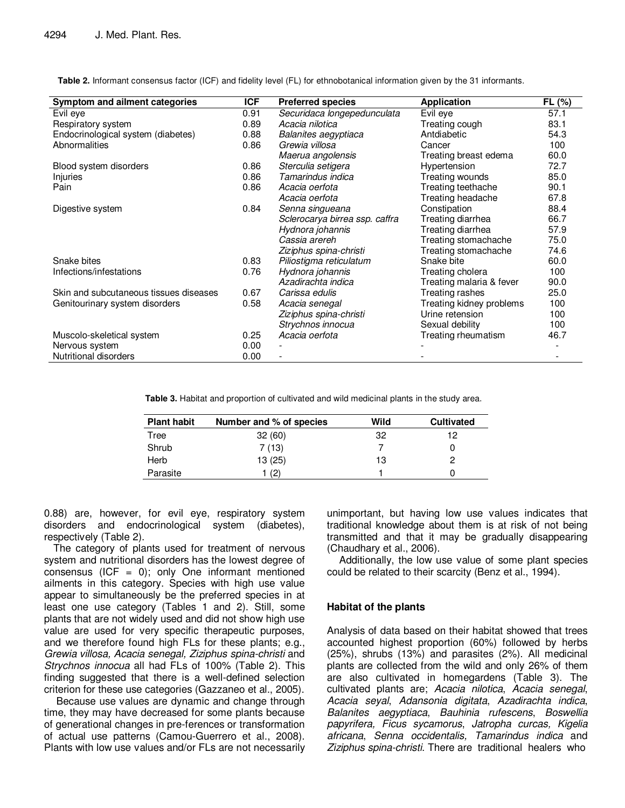| Symptom and ailment categories         | <b>ICF</b> | <b>Preferred species</b>       | <b>Application</b>       | FL (%) |
|----------------------------------------|------------|--------------------------------|--------------------------|--------|
| Evil eye                               | 0.91       | Securidaca longepedunculata    | Evil eye                 | 57.1   |
| Respiratory system                     | 0.89       | Acacia nilotica                | Treating cough           | 83.1   |
| Endocrinological system (diabetes)     | 0.88       | Balanites aegyptiaca           | Antdiabetic              | 54.3   |
| <b>Abnormalities</b>                   | 0.86       | Grewia villosa                 | Cancer                   | 100    |
|                                        |            | Maerua angolensis              | Treating breast edema    | 60.0   |
| Blood system disorders                 | 0.86       | Sterculia setigera             | Hypertension             | 72.7   |
| Injuries                               | 0.86       | Tamarindus indica              | Treating wounds          | 85.0   |
| Pain                                   | 0.86       | Acacia oerfota                 | Treating teethache       | 90.1   |
|                                        |            | Acacia oerfota                 | Treating headache        | 67.8   |
| Digestive system                       | 0.84       | Senna singueana                | Constipation             | 88.4   |
|                                        |            | Sclerocarya birrea ssp. caffra | Treating diarrhea        | 66.7   |
|                                        |            | Hydnora johannis               | Treating diarrhea        | 57.9   |
|                                        |            | Cassia arereh                  | Treating stomachache     | 75.0   |
|                                        |            | Ziziphus spina-christi         | Treating stomachache     | 74.6   |
| Snake bites                            | 0.83       | Piliostigma reticulatum        | Snake bite               | 60.0   |
| Infections/infestations                | 0.76       | Hydnora johannis               | Treating cholera         | 100    |
|                                        |            | Azadirachta indica             | Treating malaria & fever | 90.0   |
| Skin and subcutaneous tissues diseases | 0.67       | Carissa edulis                 | Treating rashes          | 25.0   |
| Genitourinary system disorders         | 0.58       | Acacia senegal                 | Treating kidney problems | 100    |
|                                        |            | Ziziphus spina-christi         | Urine retension          | 100    |
|                                        |            | Strychnos innocua              | Sexual debility          | 100    |
| Muscolo-skeletical system              | 0.25       | Acacia oerfota                 | Treating rheumatism      | 46.7   |
| Nervous system                         | 0.00       |                                |                          |        |
| Nutritional disorders                  | 0.00       |                                |                          |        |

**Table 2.** Informant consensus factor (ICF) and fidelity level (FL) for ethnobotanical information given by the 31 informants.

**Table 3.** Habitat and proportion of cultivated and wild medicinal plants in the study area.

| <b>Plant habit</b> | Number and % of species | Wild | <b>Cultivated</b> |
|--------------------|-------------------------|------|-------------------|
| Tree               | 32(60)                  | 32   | 12                |
| Shrub              | 7(13)                   |      |                   |
| Herb               | 13 (25)                 | 13   |                   |
| Parasite           | (2)                     |      |                   |

0.88) are, however, for evil eye, respiratory system disorders and endocrinological system (diabetes), respectively (Table 2).

The category of plants used for treatment of nervous system and nutritional disorders has the lowest degree of consensus (ICF =  $0$ ); only One informant mentioned ailments in this category. Species with high use value appear to simultaneously be the preferred species in at least one use category (Tables 1 and 2). Still, some plants that are not widely used and did not show high use value are used for very specific therapeutic purposes, and we therefore found high FLs for these plants; e.g., Grewia villosa, Acacia senegal, Ziziphus spina-christi and Strychnos innocua all had FLs of 100% (Table 2). This finding suggested that there is a well-defined selection criterion for these use categories (Gazzaneo et al., 2005).

 Because use values are dynamic and change through time, they may have decreased for some plants because of generational changes in pre-ferences or transformation of actual use patterns (Camou-Guerrero et al., 2008). Plants with low use values and/or FLs are not necessarily unimportant, but having low use values indicates that traditional knowledge about them is at risk of not being transmitted and that it may be gradually disappearing (Chaudhary et al., 2006).

 Additionally, the low use value of some plant species could be related to their scarcity (Benz et al., 1994).

# **Habitat of the plants**

Analysis of data based on their habitat showed that trees accounted highest proportion (60%) followed by herbs (25%), shrubs (13%) and parasites (2%). All medicinal plants are collected from the wild and only 26% of them are also cultivated in homegardens (Table 3). The cultivated plants are; Acacia nilotica, Acacia senegal, Acacia seyal, Adansonia digitata, Azadirachta indica, Balanites aegyptiaca, Bauhinia rufescens, Boswellia papyrifera, Ficus sycamorus, Jatropha curcas, Kigelia africana, Senna occidentalis, Tamarindus indica and Ziziphus spina-christi. There are traditional healers who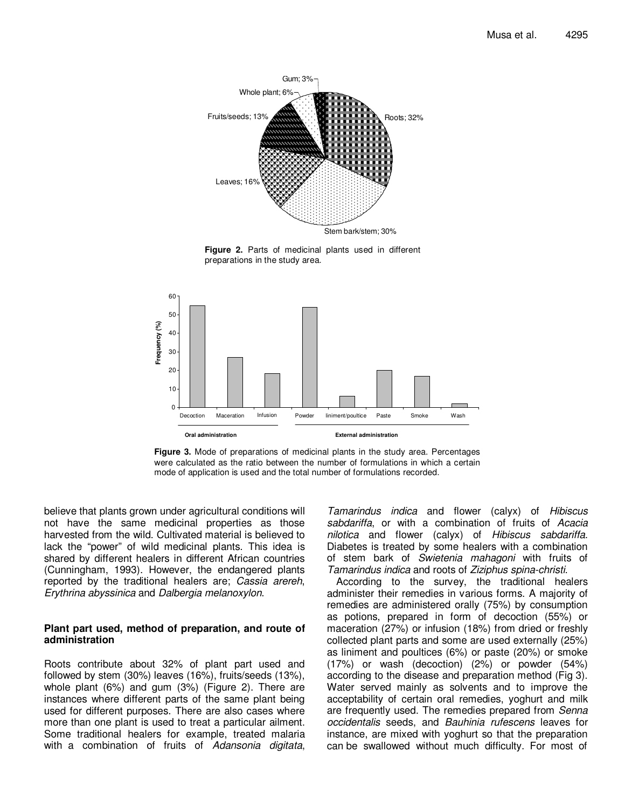

**Figure 2.** Parts of medicinal plants used in different preparations in the study area.



**Figure 3.** Mode of preparations of medicinal plants in the study area. Percentages were calculated as the ratio between the number of formulations in which a certain mode of application is used and the total number of formulations recorded.

believe that plants grown under agricultural conditions will not have the same medicinal properties as those harvested from the wild. Cultivated material is believed to lack the "power" of wild medicinal plants. This idea is shared by different healers in different African countries (Cunningham, 1993). However, the endangered plants reported by the traditional healers are; Cassia arereh, Erythrina abyssinica and Dalbergia melanoxylon.

### **Plant part used, method of preparation, and route of administration**

Roots contribute about 32% of plant part used and followed by stem (30%) leaves (16%), fruits/seeds (13%), whole plant (6%) and gum (3%) (Figure 2). There are instances where different parts of the same plant being used for different purposes. There are also cases where more than one plant is used to treat a particular ailment. Some traditional healers for example, treated malaria with a combination of fruits of Adansonia digitata,

Tamarindus indica and flower (calyx) of Hibiscus sabdariffa, or with a combination of fruits of Acacia nilotica and flower (calyx) of Hibiscus sabdariffa. Diabetes is treated by some healers with a combination of stem bark of Swietenia mahagoni with fruits of Tamarindus indica and roots of Ziziphus spina-christi.

According to the survey, the traditional healers administer their remedies in various forms. A majority of remedies are administered orally (75%) by consumption as potions, prepared in form of decoction (55%) or maceration (27%) or infusion (18%) from dried or freshly collected plant parts and some are used externally (25%) as liniment and poultices (6%) or paste (20%) or smoke (17%) or wash (decoction) (2%) or powder (54%) according to the disease and preparation method (Fig 3). Water served mainly as solvents and to improve the acceptability of certain oral remedies, yoghurt and milk are frequently used. The remedies prepared from Senna occidentalis seeds, and Bauhinia rufescens leaves for instance, are mixed with yoghurt so that the preparation can be swallowed without much difficulty. For most of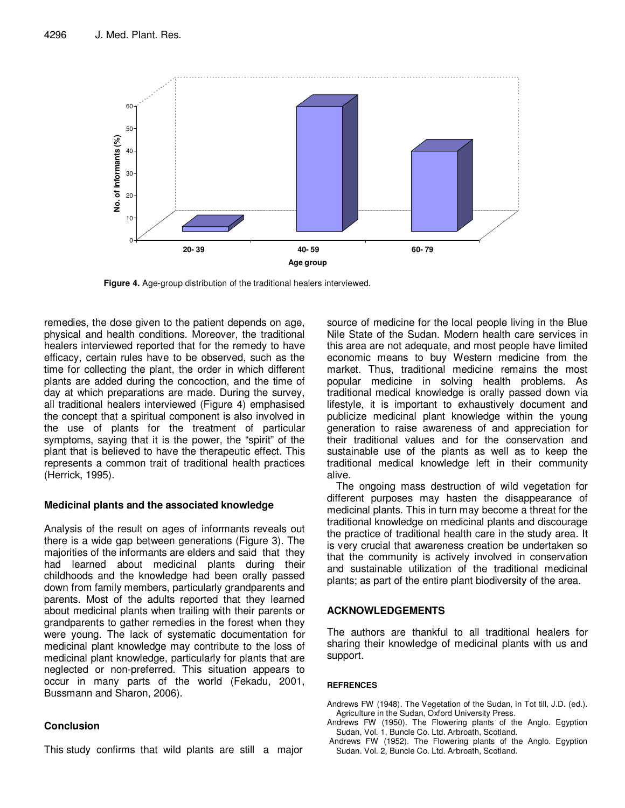

**Figure 4.** Age-group distribution of the traditional healers interviewed.

remedies, the dose given to the patient depends on age, physical and health conditions. Moreover, the traditional healers interviewed reported that for the remedy to have efficacy, certain rules have to be observed, such as the time for collecting the plant, the order in which different plants are added during the concoction, and the time of day at which preparations are made. During the survey, all traditional healers interviewed (Figure 4) emphasised the concept that a spiritual component is also involved in the use of plants for the treatment of particular symptoms, saying that it is the power, the "spirit" of the plant that is believed to have the therapeutic effect. This represents a common trait of traditional health practices (Herrick, 1995).

# **Medicinal plants and the associated knowledge**

Analysis of the result on ages of informants reveals out there is a wide gap between generations (Figure 3). The majorities of the informants are elders and said that they had learned about medicinal plants during their childhoods and the knowledge had been orally passed down from family members, particularly grandparents and parents. Most of the adults reported that they learned about medicinal plants when trailing with their parents or grandparents to gather remedies in the forest when they were young. The lack of systematic documentation for medicinal plant knowledge may contribute to the loss of medicinal plant knowledge, particularly for plants that are neglected or non-preferred. This situation appears to occur in many parts of the world (Fekadu, 2001, Bussmann and Sharon, 2006).

# **Conclusion**

This study confirms that wild plants are still a major

source of medicine for the local people living in the Blue Nile State of the Sudan. Modern health care services in this area are not adequate, and most people have limited economic means to buy Western medicine from the market. Thus, traditional medicine remains the most popular medicine in solving health problems. As traditional medical knowledge is orally passed down via lifestyle, it is important to exhaustively document and publicize medicinal plant knowledge within the young generation to raise awareness of and appreciation for their traditional values and for the conservation and sustainable use of the plants as well as to keep the traditional medical knowledge left in their community alive.

The ongoing mass destruction of wild vegetation for different purposes may hasten the disappearance of medicinal plants. This in turn may become a threat for the traditional knowledge on medicinal plants and discourage the practice of traditional health care in the study area. It is very crucial that awareness creation be undertaken so that the community is actively involved in conservation and sustainable utilization of the traditional medicinal plants; as part of the entire plant biodiversity of the area.

# **ACKNOWLEDGEMENTS**

The authors are thankful to all traditional healers for sharing their knowledge of medicinal plants with us and support.

#### **REFRENCES**

- Andrews FW (1948). The Vegetation of the Sudan, in Tot till, J.D. (ed.). Agriculture in the Sudan, Oxford University Press.
- Andrews FW (1950). The Flowering plants of the Anglo. Egyption Sudan, Vol. 1, Buncle Co. Ltd. Arbroath, Scotland.
- Andrews FW (1952). The Flowering plants of the Anglo. Egyption Sudan. Vol. 2, Buncle Co. Ltd. Arbroath, Scotland.